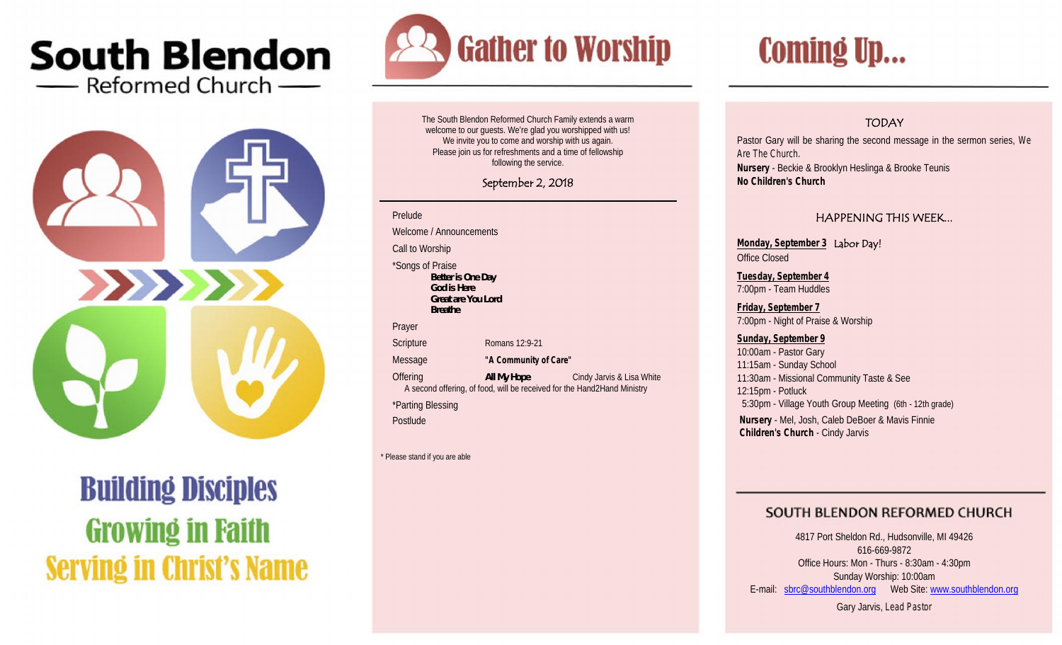## **South Blendon** - Reformed Church -



# **Building Disciples Growing in Faith Serving in Christ's Name**



The South Blendon Reformed Church Family extends a warm welcome to our guests. We're glad you worshipped with us! We invite you to come and worship with us again. Please join us for refreshments and a time of fellowship following the service.

### **September 2, 2018**

#### Prelude

Welcome / Announcements

Call to Worship

\*Songs of Praise *Better is One Day God is Here Great are You Lord Breathe*

Prayer

Scripture Romans 12:9-21

Message **"A Community of Care"**

**Offering The Cindy Jarvis & Lisa White** Cindy Jarvis & Lisa White A second offering, of food, will be received for the Hand2Hand Ministry \*Parting Blessing **Postlude** 

\* Please stand if you are able

# **Coming Up...**

## **TODAY**

Pastor Gary will be sharing the second message in the sermon series, *We Are The Church.* **Nursery** - Beckie & Brooklyn Heslinga & Brooke Teunis **No Children's Church**

### **HAPPENING THIS WEEK...**

**Monday, September 3 Labor Day!** Office Closed

**Tuesday, September 4** 7:00pm - Team Huddles

**Friday, September 7** 7:00pm - Night of Praise & Worship

**Sunday, September 9** 10:00am - Pastor Gary 11:15am - Sunday School 11:30am - Missional Community Taste & See 12:15pm - Potluck 5:30pm - Village Youth Group Meeting (6th - 12th grade) **Nursery** - Mel, Josh, Caleb DeBoer & Mavis Finnie **Children's Church** - Cindy Jarvis

## SOUTH BLENDON REFORMED CHURCH

4817 Port Sheldon Rd., Hudsonville, MI 49426 616-669-9872 Office Hours: Mon - Thurs - 8:30am - 4:30pm Sunday Worship: 10:00am E-mail: sbrc@southblendon.org Web Site: www.southblendon.org

Gary Jarvis, *Lead Pastor*